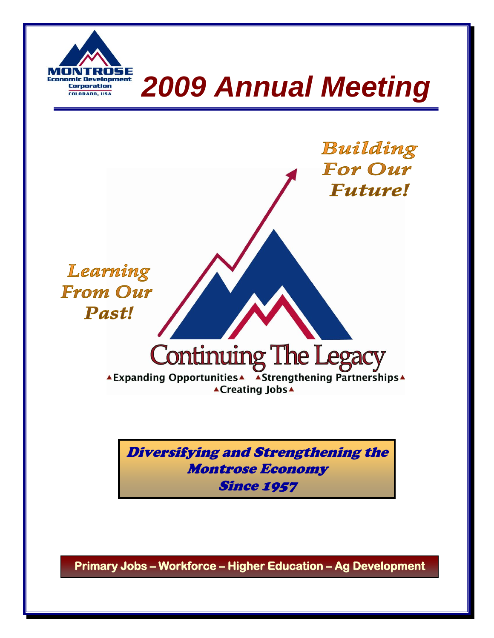

# *2009 Annual Meeting*



Diversifying and Strengthening the Montrose Economy **Since 1957** 

**Primary Jobs – Workforce – Higher Education – Ag Development**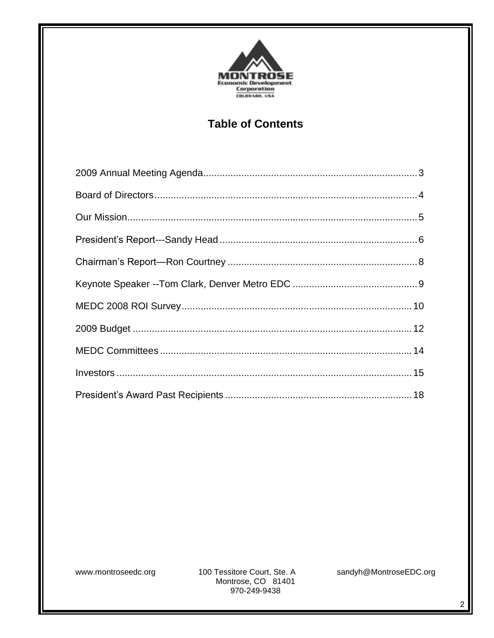

## **Table of Contents**

www.montroseedc.org

100 Tessitore Court, Ste. A Montrose, CO 81401 970-249-9438

sandyh@MontroseEDC.org

 $\overline{2}$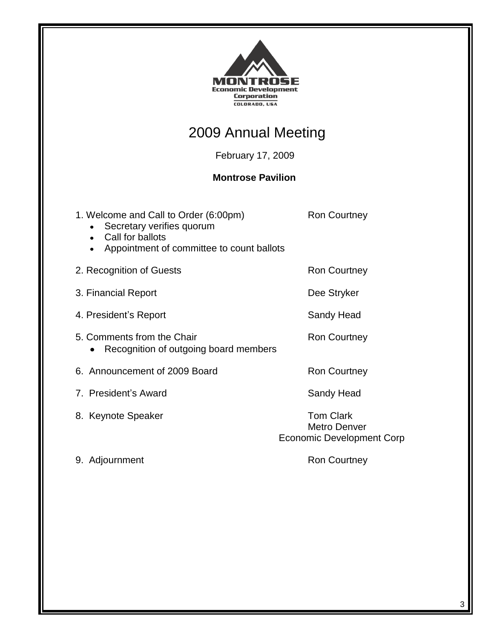

# 2009 Annual Meeting

February 17, 2009

#### **Montrose Pavilion**

| 1. Welcome and Call to Order (6:00pm)<br>Secretary verifies quorum<br>Call for ballots<br>$\bullet$<br>Appointment of committee to count ballots | <b>Ron Courtney</b>                                                         |
|--------------------------------------------------------------------------------------------------------------------------------------------------|-----------------------------------------------------------------------------|
| 2. Recognition of Guests                                                                                                                         | Ron Courtney                                                                |
| 3. Financial Report                                                                                                                              | Dee Stryker                                                                 |
| 4. President's Report                                                                                                                            | Sandy Head                                                                  |
| 5. Comments from the Chair<br>Recognition of outgoing board members                                                                              | <b>Ron Courtney</b>                                                         |
| 6. Announcement of 2009 Board                                                                                                                    | <b>Ron Courtney</b>                                                         |
| 7. President's Award                                                                                                                             | Sandy Head                                                                  |
| 8. Keynote Speaker                                                                                                                               | <b>Tom Clark</b><br><b>Metro Denver</b><br><b>Economic Development Corp</b> |
| 9. Adjournment                                                                                                                                   | Ron Courtney                                                                |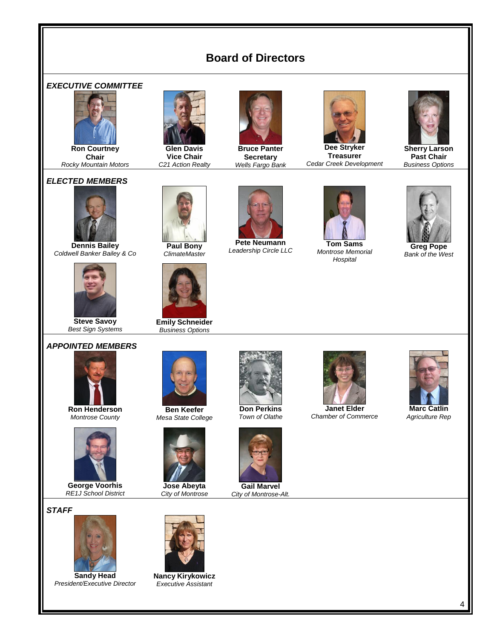## **Board of Directors**





**Ron Courtney Chair** *Rocky Mountain Motors*

#### *ELECTED MEMBERS*



**Dennis Bailey** *Coldwell Banker Bailey & Co*



**Steve Savoy** *Best Sign Systems*

#### *APPOINTED MEMBERS*



**Ron Henderson** *Montrose County*



**George Voorhis** *RE1J School District*

#### *STAFF*



**Sandy Head** *President/Executive Director*



**Emily Schneider** *Business Options*



**Bruce Panter Secretary** *Wells Fargo Bank*



**Dee Stryker Treasurer** *Cedar Creek Development*



**Sherry Larson Past Chair** *Business Options*



**Greg Pope** *Bank of the West*



**Glen Davis Vice Chair** *C21 Action Realty*



**Pete Neumann** *Leadership Circle LLC*



**Tom Sams** *Montrose Memorial Hospital*







**Jose Abeyta** *City of Montrose*



**Don Perkins** *Town of Olathe*



*City of Montrose-Alt.*



**Janet Elder** *Chamber of Commerce*



**Marc Catlin** *Agriculture Rep*

4



**Nancy Kirykowicz** *Executive Assistant*





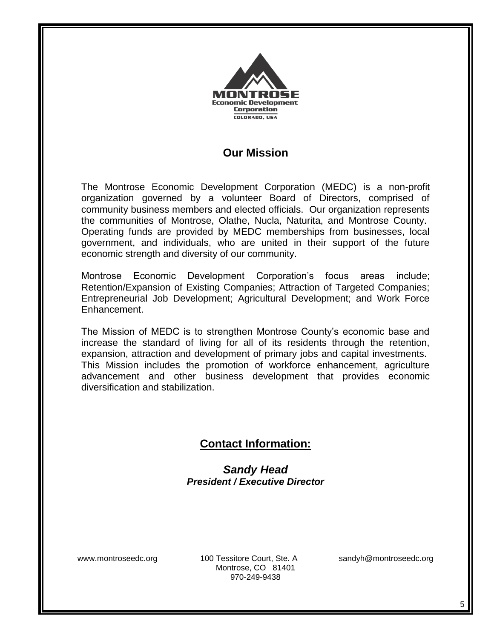

### **Our Mission**

The Montrose Economic Development Corporation (MEDC) is a non-profit organization governed by a volunteer Board of Directors, comprised of community business members and elected officials. Our organization represents the communities of Montrose, Olathe, Nucla, Naturita, and Montrose County. Operating funds are provided by MEDC memberships from businesses, local government, and individuals, who are united in their support of the future economic strength and diversity of our community.

Montrose Economic Development Corporation's focus areas include; Retention/Expansion of Existing Companies; Attraction of Targeted Companies; Entrepreneurial Job Development; Agricultural Development; and Work Force Enhancement.

The Mission of MEDC is to strengthen Montrose County's economic base and increase the standard of living for all of its residents through the retention, expansion, attraction and development of primary jobs and capital investments. This Mission includes the promotion of workforce enhancement, agriculture advancement and other business development that provides economic diversification and stabilization.

## **Contact Information:**

*Sandy Head President / Executive Director*

www.montroseedc.org 100 Tessitore Court, Ste. A sandyh@montroseedc.org Montrose, CO 81401 970-249-9438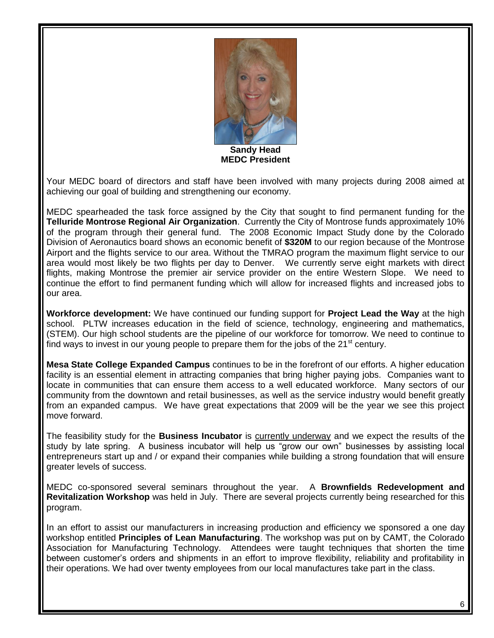

**Sandy Head MEDC President**

Your MEDC board of directors and staff have been involved with many projects during 2008 aimed at achieving our goal of building and strengthening our economy.

MEDC spearheaded the task force assigned by the City that sought to find permanent funding for the **Telluride Montrose Regional Air Organization**. Currently the City of Montrose funds approximately 10% of the program through their general fund. The 2008 Economic Impact Study done by the Colorado Division of Aeronautics board shows an economic benefit of **\$320M** to our region because of the Montrose Airport and the flights service to our area. Without the TMRAO program the maximum flight service to our area would most likely be two flights per day to Denver. We currently serve eight markets with direct flights, making Montrose the premier air service provider on the entire Western Slope. We need to continue the effort to find permanent funding which will allow for increased flights and increased jobs to our area.

**Workforce development:** We have continued our funding support for **Project Lead the Way** at the high school. PLTW increases education in the field of science, technology, engineering and mathematics, (STEM). Our high school students are the pipeline of our workforce for tomorrow. We need to continue to find ways to invest in our young people to prepare them for the jobs of the  $21<sup>st</sup>$  century.

**Mesa State College Expanded Campus** continues to be in the forefront of our efforts. A higher education facility is an essential element in attracting companies that bring higher paying jobs. Companies want to locate in communities that can ensure them access to a well educated workforce. Many sectors of our community from the downtown and retail businesses, as well as the service industry would benefit greatly from an expanded campus. We have great expectations that 2009 will be the year we see this project move forward.

The feasibility study for the **Business Incubator** is currently underway and we expect the results of the study by late spring. A business incubator will help us "grow our own" businesses by assisting local entrepreneurs start up and / or expand their companies while building a strong foundation that will ensure greater levels of success.

MEDC co-sponsored several seminars throughout the year. A **Brownfields Redevelopment and Revitalization Workshop** was held in July. There are several projects currently being researched for this program.

In an effort to assist our manufacturers in increasing production and efficiency we sponsored a one day workshop entitled **Principles of Lean Manufacturing**. The workshop was put on by CAMT, the Colorado Association for Manufacturing Technology. Attendees were taught techniques that shorten the time between customer's orders and shipments in an effort to improve flexibility, reliability and profitability in their operations. We had over twenty employees from our local manufactures take part in the class.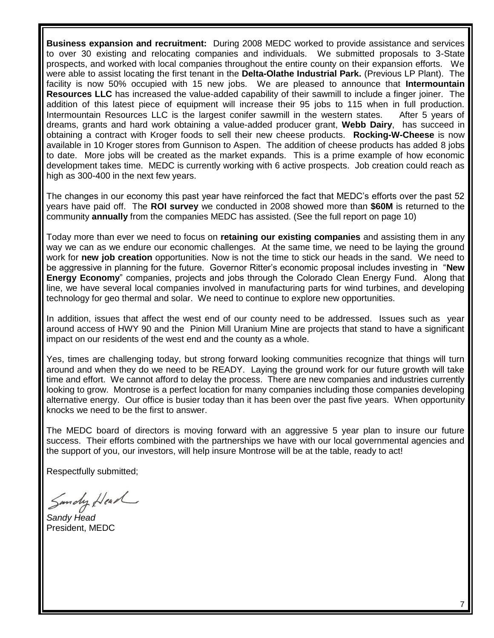**Business expansion and recruitment:** During 2008 MEDC worked to provide assistance and services to over 30 existing and relocating companies and individuals. We submitted proposals to 3-State prospects, and worked with local companies throughout the entire county on their expansion efforts. We were able to assist locating the first tenant in the **Delta-Olathe Industrial Park.** (Previous LP Plant). The facility is now 50% occupied with 15 new jobs. We are pleased to announce that **Intermountain Resources LLC** has increased the value-added capability of their sawmill to include a finger joiner. The addition of this latest piece of equipment will increase their 95 jobs to 115 when in full production. Intermountain Resources LLC is the largest conifer sawmill in the western states. After 5 years of dreams, grants and hard work obtaining a value-added producer grant, **Webb Dairy**, has succeed in obtaining a contract with Kroger foods to sell their new cheese products. **Rocking-W-Cheese** is now available in 10 Kroger stores from Gunnison to Aspen. The addition of cheese products has added 8 jobs to date. More jobs will be created as the market expands. This is a prime example of how economic development takes time. MEDC is currently working with 6 active prospects. Job creation could reach as high as 300-400 in the next few years.

The changes in our economy this past year have reinforced the fact that MEDC's efforts over the past 52 years have paid off. The **ROI survey** we conducted in 2008 showed more than **\$60M** is returned to the community **annually** from the companies MEDC has assisted. (See the full report on page 10)

Today more than ever we need to focus on **retaining our existing companies** and assisting them in any way we can as we endure our economic challenges. At the same time, we need to be laying the ground work for **new job creation** opportunities. Now is not the time to stick our heads in the sand. We need to be aggressive in planning for the future. Governor Ritter's economic proposal includes investing in "**New Energy Economy**" companies, projects and jobs through the Colorado Clean Energy Fund. Along that line, we have several local companies involved in manufacturing parts for wind turbines, and developing technology for geo thermal and solar. We need to continue to explore new opportunities.

In addition, issues that affect the west end of our county need to be addressed. Issues such as year around access of HWY 90 and the Pinion Mill Uranium Mine are projects that stand to have a significant impact on our residents of the west end and the county as a whole.

Yes, times are challenging today, but strong forward looking communities recognize that things will turn around and when they do we need to be READY. Laying the ground work for our future growth will take time and effort. We cannot afford to delay the process. There are new companies and industries currently looking to grow. Montrose is a perfect location for many companies including those companies developing alternative energy. Our office is busier today than it has been over the past five years. When opportunity knocks we need to be the first to answer.

The MEDC board of directors is moving forward with an aggressive 5 year plan to insure our future success. Their efforts combined with the partnerships we have with our local governmental agencies and the support of you, our investors, will help insure Montrose will be at the table, ready to act!

Respectfully submitted;

Sundy Head

*Sandy Head* President, MEDC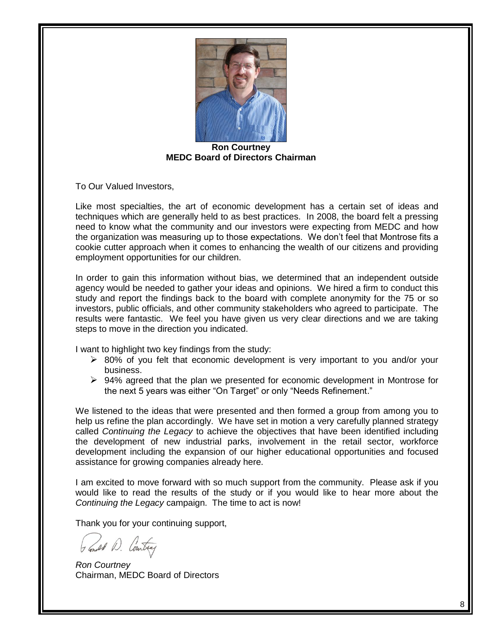

**Ron Courtney MEDC Board of Directors Chairman**

To Our Valued Investors,

Like most specialties, the art of economic development has a certain set of ideas and techniques which are generally held to as best practices. In 2008, the board felt a pressing need to know what the community and our investors were expecting from MEDC and how the organization was measuring up to those expectations. We don't feel that Montrose fits a cookie cutter approach when it comes to enhancing the wealth of our citizens and providing employment opportunities for our children.

In order to gain this information without bias, we determined that an independent outside agency would be needed to gather your ideas and opinions. We hired a firm to conduct this study and report the findings back to the board with complete anonymity for the 75 or so investors, public officials, and other community stakeholders who agreed to participate. The results were fantastic. We feel you have given us very clear directions and we are taking steps to move in the direction you indicated.

I want to highlight two key findings from the study:

- $\geq$  80% of you felt that economic development is very important to you and/or your business.
- $\triangleright$  94% agreed that the plan we presented for economic development in Montrose for the next 5 years was either "On Target" or only "Needs Refinement."

We listened to the ideas that were presented and then formed a group from among you to help us refine the plan accordingly. We have set in motion a very carefully planned strategy called *Continuing the Legacy* to achieve the objectives that have been identified including the development of new industrial parks, involvement in the retail sector, workforce development including the expansion of our higher educational opportunities and focused assistance for growing companies already here.

I am excited to move forward with so much support from the community. Please ask if you would like to read the results of the study or if you would like to hear more about the *Continuing the Legacy* campaign. The time to act is now!

Thank you for your continuing support,

Gener D. Contray

*Ron Courtney* Chairman, MEDC Board of Directors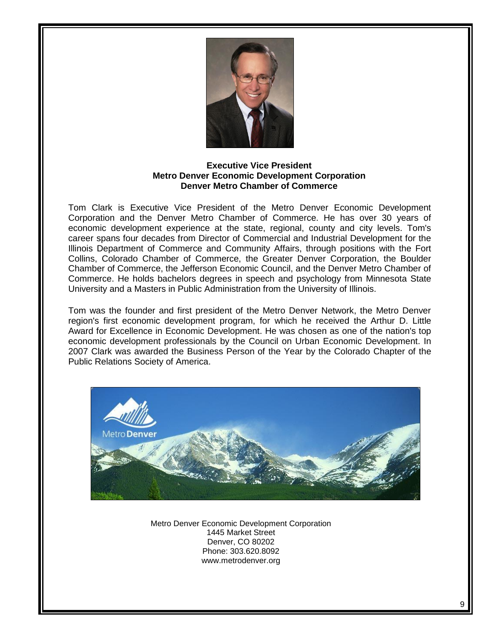

#### **Executive Vice President Metro Denver Economic Development Corporation Denver Metro Chamber of Commerce**

Tom Clark is Executive Vice President of the Metro Denver Economic Development Corporation and the Denver Metro Chamber of Commerce. He has over 30 years of economic development experience at the state, regional, county and city levels. Tom's career spans four decades from Director of Commercial and Industrial Development for the Illinois Department of Commerce and Community Affairs, through positions with the Fort Collins, Colorado Chamber of Commerce, the Greater Denver Corporation, the Boulder Chamber of Commerce, the Jefferson Economic Council, and the Denver Metro Chamber of Commerce. He holds bachelors degrees in speech and psychology from Minnesota State University and a Masters in Public Administration from the University of Illinois.

Tom was the founder and first president of the Metro Denver Network, the Metro Denver region's first economic development program, for which he received the Arthur D. Little Award for Excellence in Economic Development. He was chosen as one of the nation's top economic development professionals by the Council on Urban Economic Development. In 2007 Clark was awarded the Business Person of the Year by the Colorado Chapter of the Public Relations Society of America.



Metro Denver Economic Development Corporation 1445 Market Street Denver, CO 80202 Phone: 303.620.8092 www.metrodenver.org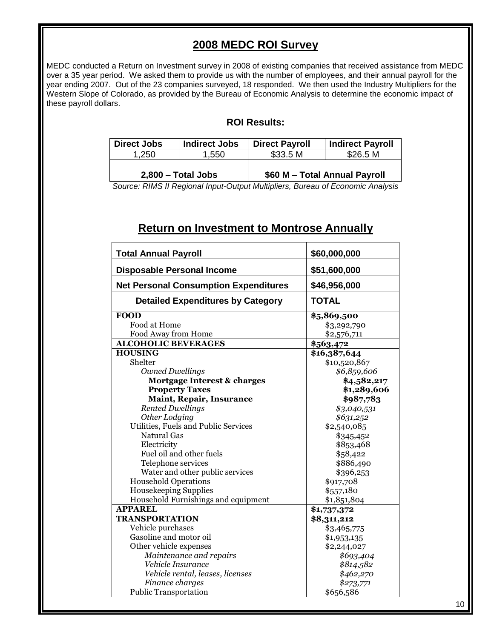#### **2008 MEDC ROI Survey**

MEDC conducted a Return on Investment survey in 2008 of existing companies that received assistance from MEDC over a 35 year period. We asked them to provide us with the number of employees, and their annual payroll for the year ending 2007. Out of the 23 companies surveyed, 18 responded. We then used the Industry Multipliers for the Western Slope of Colorado, as provided by the Bureau of Economic Analysis to determine the economic impact of these payroll dollars.

#### **ROI Results:**

| <b>Direct Jobs</b>   | <b>Indirect Jobs</b> | <b>Direct Payroll</b> | <b>Indirect Payroll</b>       |
|----------------------|----------------------|-----------------------|-------------------------------|
| 1,250                | 1.550                | \$33.5 M              | \$26.5 M                      |
| $2,800$ – Total Jobs |                      |                       | \$60 M - Total Annual Payroll |

*Source: RIMS II Regional Input-Output Multipliers, Bureau of Economic Analysis*

#### **Return on Investment to Montrose Annually**

| <b>Total Annual Payroll</b>                  | \$60,000,000 |
|----------------------------------------------|--------------|
| <b>Disposable Personal Income</b>            | \$51,600,000 |
| <b>Net Personal Consumption Expenditures</b> | \$46,956,000 |
| <b>Detailed Expenditures by Category</b>     | <b>TOTAL</b> |
| <b>FOOD</b>                                  | \$5,869,500  |
| Food at Home                                 | \$3,292,790  |
| Food Away from Home                          | \$2,576,711  |
| <b>ALCOHOLIC BEVERAGES</b>                   | \$563,472    |
| <b>HOUSING</b>                               | \$16,387,644 |
| Shelter                                      | \$10,520,867 |
| <b>Owned Dwellings</b>                       | \$6,859,606  |
| Mortgage Interest & charges                  | \$4,582,217  |
| <b>Property Taxes</b>                        | \$1,289,606  |
| Maint, Repair, Insurance                     | \$987,783    |
| <b>Rented Dwellings</b>                      | \$3,040,531  |
| Other Lodging                                | \$631,252    |
| Utilities, Fuels and Public Services         | \$2,540,085  |
| <b>Natural Gas</b>                           | \$345,452    |
| Electricity                                  | \$853,468    |
| Fuel oil and other fuels                     | \$58,422     |
| Telephone services                           | \$886,490    |
| Water and other public services              | \$396,253    |
| <b>Household Operations</b>                  | \$917,708    |
| <b>Housekeeping Supplies</b>                 | \$557,180    |
| Household Furnishings and equipment          | \$1,851,804  |
| <b>APPAREL</b>                               | \$1,737,372  |
| <b>TRANSPORTATION</b>                        | \$8,311,212  |
| Vehicle purchases                            | \$3,465,775  |
| Gasoline and motor oil                       | \$1,953,135  |
| Other vehicle expenses                       | \$2,244,027  |
| Maintenance and repairs                      | \$693,404    |
| Vehicle Insurance                            | \$814,582    |
| Vehicle rental, leases, licenses             | \$462,270    |
| Finance charges                              | \$273,771    |
| <b>Public Transportation</b>                 | \$656,586    |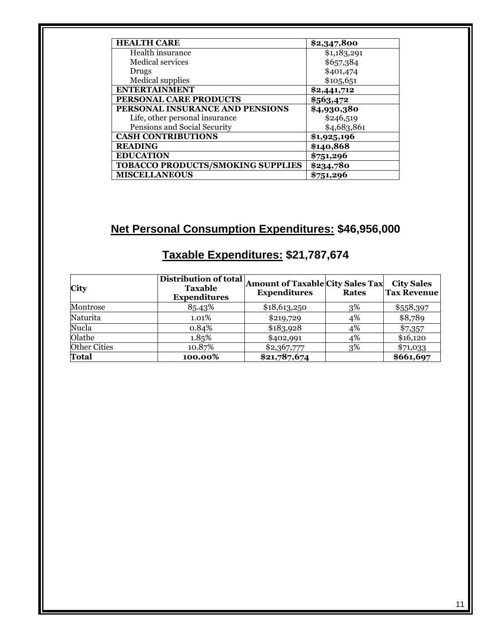| <b>HEALTH CARE</b>                       | \$2,347,800 |
|------------------------------------------|-------------|
| Health insurance                         | \$1,183,291 |
| Medical services                         | \$657,384   |
| Drugs                                    | \$401,474   |
| <b>Medical supplies</b>                  | \$105,651   |
| <b>ENTERTAINMENT</b>                     | \$2,441,712 |
| <b>PERSONAL CARE PRODUCTS</b>            | \$563,472   |
| PERSONAL INSURANCE AND PENSIONS          | \$4,930,380 |
| Life, other personal insurance           | \$246,519   |
| Pensions and Social Security             | \$4,683,861 |
| <b>CASH CONTRIBUTIONS</b>                | \$1,925,196 |
| <b>READING</b>                           | \$140,868   |
| <b>EDUCATION</b>                         | \$751,296   |
| <b>TOBACCO PRODUCTS/SMOKING SUPPLIES</b> | \$234,780   |
| <b>MISCELLANEOUS</b>                     | \$751,296   |

# **Net Personal Consumption Expenditures: \$46,956,000**

| <b>City</b>         | Distribution of total<br><b>Taxable</b><br><b>Expenditures</b> | <b>Amount of Taxable City Sales Tax</b><br><b>Expenditures</b> | <b>Rates</b> | <b>City Sales</b><br><b>Tax Revenue</b> |
|---------------------|----------------------------------------------------------------|----------------------------------------------------------------|--------------|-----------------------------------------|
| Montrose            | 85.43%                                                         | \$18,613,250                                                   | 3%           | \$558,397                               |
| Naturita            | 1.01%                                                          | \$219,729                                                      | 4%           | \$8,789                                 |
| Nucla               | 0.84%                                                          | \$183,928                                                      | 4%           | \$7,357                                 |
| Olathe              | 1.85%                                                          | \$402,991                                                      | 4%           | \$16,120                                |
| <b>Other Cities</b> | 10.87%                                                         | \$2,367,777                                                    | 3%           | \$71,033                                |
| <b>Total</b>        | 100.00%                                                        | \$21,787,674                                                   |              | \$661,697                               |

# **Taxable Expenditures: \$21,787,674**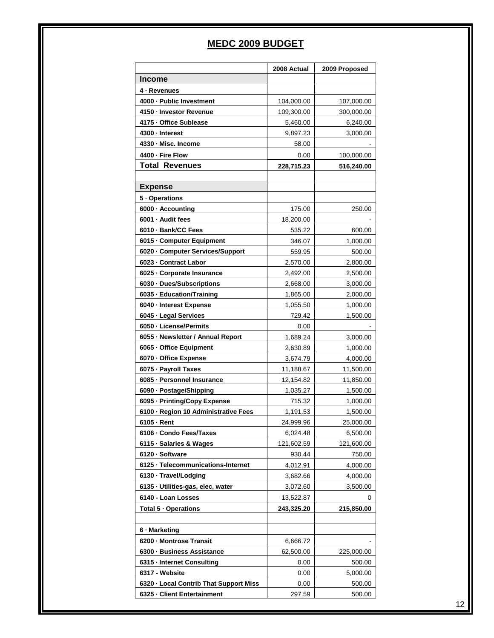## **MEDC 2009 BUDGET**

|                                        | 2008 Actual | 2009 Proposed |
|----------------------------------------|-------------|---------------|
| <b>Income</b>                          |             |               |
| 4 - Revenues                           |             |               |
| 4000 - Public Investment               | 104,000.00  | 107,000.00    |
| 4150 - Investor Revenue                | 109,300.00  | 300,000.00    |
| 4175 - Office Sublease                 | 5,460.00    | 6,240.00      |
| 4300 - Interest                        | 9,897.23    | 3,000.00      |
| 4330 - Misc. Income                    | 58.00       |               |
| 4400 - Fire Flow                       | 0.00        | 100,000.00    |
| <b>Total Revenues</b>                  | 228,715.23  | 516,240.00    |
|                                        |             |               |
| <b>Expense</b>                         |             |               |
| 5 - Operations                         |             |               |
| 6000 - Accounting                      | 175.00      | 250.00        |
| 6001 · Audit fees                      | 18,200.00   |               |
| 6010 · Bank/CC Fees                    | 535.22      | 600.00        |
| 6015 - Computer Equipment              | 346.07      | 1,000.00      |
| 6020 Computer Services/Support         | 559.95      | 500.00        |
| 6023 - Contract Labor                  | 2,570.00    | 2,800.00      |
| 6025 - Corporate Insurance             | 2,492.00    | 2,500.00      |
| 6030 · Dues/Subscriptions              | 2,668.00    | 3,000.00      |
| 6035 · Education/Training              | 1,865.00    | 2,000.00      |
| 6040 - Interest Expense                | 1,055.50    | 1,000.00      |
| 6045 - Legal Services                  | 729.42      | 1,500.00      |
| 6050 - License/Permits                 | 0.00        |               |
| 6055 - Newsletter / Annual Report      | 1,689.24    | 3,000.00      |
| 6065 - Office Equipment                | 2,630.89    | 1,000.00      |
| 6070 - Office Expense                  | 3,674.79    | 4,000.00      |
| 6075 - Payroll Taxes                   | 11,188.67   | 11,500.00     |
| 6085 - Personnel Insurance             | 12,154.82   | 11,850.00     |
| 6090 · Postage/Shipping                | 1,035.27    | 1,500.00      |
| 6095 - Printing/Copy Expense           | 715.32      | 1,000.00      |
| 6100 · Region 10 Administrative Fees   | 1,191.53    | 1,500.00      |
| $6105 \cdot$ Rent                      | 24,999.96   | 25,000.00     |
| 6106 - Condo Fees/Taxes                | 6,024.48    | 6,500.00      |
| 6115 · Salaries & Wages                | 121,602.59  | 121,600.00    |
| 6120 - Software                        | 930.44      | 750.00        |
| 6125 · Telecommunications-Internet     | 4,012.91    | 4,000.00      |
| 6130 - Travel/Lodging                  | 3,682.66    | 4,000.00      |
| 6135 · Utilities-gas, elec, water      | 3,072.60    | 3,500.00      |
| 6140 - Loan Losses                     | 13,522.87   | 0             |
| Total 5 - Operations                   | 243,325.20  | 215,850.00    |
|                                        |             |               |
| 6 - Marketing                          |             |               |
| 6200 - Montrose Transit                | 6,666.72    |               |
| 6300 - Business Assistance             | 62,500.00   | 225,000.00    |
| 6315 - Internet Consulting             | 0.00        | 500.00        |
| 6317 - Website                         | 0.00        | 5,000.00      |
| 6320 - Local Contrib That Support Miss | 0.00        | 500.00        |
| 6325 - Client Entertainment            |             |               |
|                                        | 297.59      | 500.00        |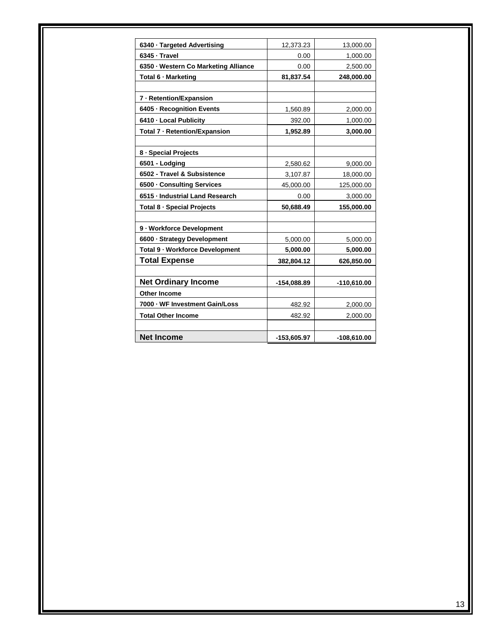| 6340 · Targeted Advertising          | 12,373.23     | 13,000.00     |
|--------------------------------------|---------------|---------------|
| 6345 · Travel                        | 0.00          | 1,000.00      |
| 6350 - Western Co Marketing Alliance | 0.00          | 2,500.00      |
| Total 6 - Marketing                  | 81,837.54     | 248,000.00    |
|                                      |               |               |
| 7 - Retention/Expansion              |               |               |
| 6405 - Recognition Events            | 1,560.89      | 2,000.00      |
| 6410 - Local Publicity               | 392.00        | 1,000.00      |
| Total 7 - Retention/Expansion        | 1,952.89      | 3,000.00      |
|                                      |               |               |
| 8 - Special Projects                 |               |               |
| 6501 - Lodging                       | 2,580.62      | 9,000.00      |
| 6502 - Travel & Subsistence          | 3,107.87      | 18,000.00     |
| 6500 - Consulting Services           | 45,000.00     | 125,000.00    |
| 6515 - Industrial Land Research      | 0.00          | 3,000.00      |
| Total 8 - Special Projects           | 50,688.49     | 155,000.00    |
|                                      |               |               |
| 9 - Workforce Development            |               |               |
| 6600 - Strategy Development          | 5,000.00      | 5,000.00      |
| Total 9 - Workforce Development      | 5,000.00      | 5,000.00      |
| <b>Total Expense</b>                 | 382,804.12    | 626,850.00    |
|                                      |               |               |
| <b>Net Ordinary Income</b>           | $-154,088.89$ | $-110,610.00$ |
| <b>Other Income</b>                  |               |               |
| 7000 - WF Investment Gain/Loss       | 482.92        | 2,000.00      |
| <b>Total Other Income</b>            | 482.92        | 2,000.00      |
|                                      |               |               |
| <b>Net Income</b>                    | -153,605.97   | -108,610.00   |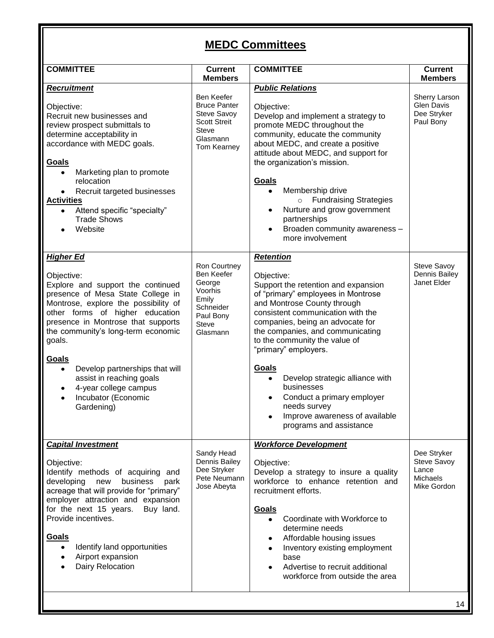# **MEDC Committees**

| <b>COMMITTEE</b>                                                                                                                                                                                                                                                                                                                                                                                                                                      | <b>Current</b><br><b>Members</b>                                                                                   | <b>COMMITTEE</b>                                                                                                                                                                                                                                                                                                                                                                                                                                                                | <b>Current</b><br><b>Members</b>                               |  |
|-------------------------------------------------------------------------------------------------------------------------------------------------------------------------------------------------------------------------------------------------------------------------------------------------------------------------------------------------------------------------------------------------------------------------------------------------------|--------------------------------------------------------------------------------------------------------------------|---------------------------------------------------------------------------------------------------------------------------------------------------------------------------------------------------------------------------------------------------------------------------------------------------------------------------------------------------------------------------------------------------------------------------------------------------------------------------------|----------------------------------------------------------------|--|
| <b>Recruitment</b><br>Objective:<br>Recruit new businesses and<br>review prospect submittals to<br>determine acceptability in<br>accordance with MEDC goals.<br>Goals<br>Marketing plan to promote<br>$\bullet$<br>relocation<br>Recruit targeted businesses<br>$\bullet$<br><b>Activities</b><br>Attend specific "specialty"<br>$\bullet$<br><b>Trade Shows</b><br>Website<br>$\bullet$                                                              | Ben Keefer<br><b>Bruce Panter</b><br>Steve Savoy<br><b>Scott Streit</b><br><b>Steve</b><br>Glasmann<br>Tom Kearney | <b>Public Relations</b><br>Objective:<br>Develop and implement a strategy to<br>promote MEDC throughout the<br>community, educate the community<br>about MEDC, and create a positive<br>attitude about MEDC, and support for<br>the organization's mission.<br>Goals<br>Membership drive<br>$\bullet$<br><b>Fundraising Strategies</b><br>$\circ$<br>Nurture and grow government<br>$\bullet$<br>partnerships<br>Broaden community awareness -<br>$\bullet$<br>more involvement | Sherry Larson<br><b>Glen Davis</b><br>Dee Stryker<br>Paul Bony |  |
| <b>Higher Ed</b><br>Objective:<br>Explore and support the continued<br>presence of Mesa State College in<br>Montrose, explore the possibility of<br>other forms of higher education<br>presence in Montrose that supports<br>the community's long-term economic<br>goals.<br>Goals<br>Develop partnerships that will<br>$\bullet$<br>assist in reaching goals<br>4-year college campus<br>$\bullet$<br>Incubator (Economic<br>$\bullet$<br>Gardening) | Ron Courtney<br>Ben Keefer<br>George<br>Voorhis<br>Emily<br>Schneider<br>Paul Bony<br><b>Steve</b><br>Glasmann     | Retention<br>Objective:<br>Support the retention and expansion<br>of "primary" employees in Montrose<br>and Montrose County through<br>consistent communication with the<br>companies, being an advocate for<br>the companies, and communicating<br>to the community the value of<br>"primary" employers.<br>Goals<br>Develop strategic alliance with<br>businesses<br>Conduct a primary employer<br>needs survey<br>Improve awareness of available<br>programs and assistance  | Steve Savoy<br>Dennis Bailey<br>Janet Elder                    |  |
| <b>Capital Investment</b><br>Objective:<br>Identify methods of acquiring and<br>developing<br>new<br>business<br>park<br>acreage that will provide for "primary"<br>employer attraction and expansion<br>for the next 15 years.<br>Buy land.<br>Provide incentives.<br>Goals<br>Identify land opportunities<br>$\bullet$<br>Airport expansion<br>$\bullet$<br>Dairy Relocation                                                                        | Sandy Head<br>Dennis Bailey<br>Dee Stryker<br>Pete Neumann<br>Jose Abeyta                                          | <b>Workforce Development</b><br>Objective:<br>Develop a strategy to insure a quality<br>workforce to enhance retention and<br>recruitment efforts.<br>Goals<br>Coordinate with Workforce to<br>determine needs<br>Affordable housing issues<br>٠<br>Inventory existing employment<br>base<br>Advertise to recruit additional<br>workforce from outside the area                                                                                                                 | Dee Stryker<br>Steve Savoy<br>Lance<br>Michaels<br>Mike Gordon |  |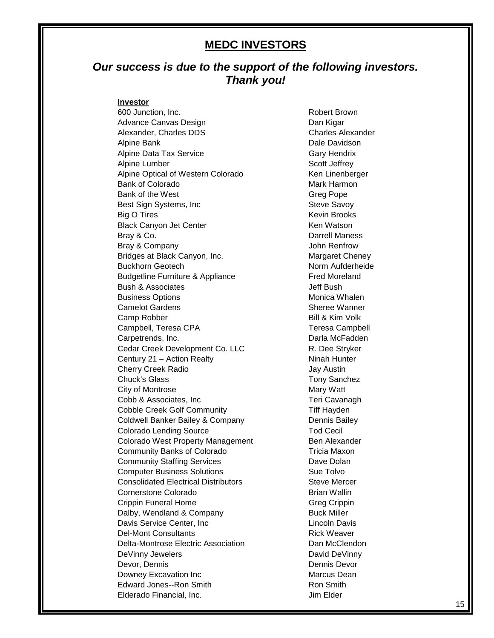#### **MEDC INVESTORS**

#### *Our success is due to the support of the following investors. Thank you!*

#### **Investor**

600 Junction, Inc. **Robert Brown** Advance Canvas Design **Dan Kigar** Dan Kigar Alexander, Charles DDS Charles Alexander Alpine Bank **Dale Davidson** Alpine Data Tax Service **Gary Hendrix** Gary Hendrix Alpine Lumber Scott Jeffrey Alpine Optical of Western Colorado Ken Linenberger Bank of Colorado **Mark Harmon** Mark Harmon Bank of the West Greg Pope Best Sign Systems, Inc Steve Savoy Big O Tires **Kevin Brooks** Kevin Brooks Black Canyon Jet Center **Ken Watson** Ken Watson Bray & Co. **Darrell Maness** Bray & Company Gray Company Communication of the United States of John Renfrow Bridges at Black Canyon, Inc. The Margaret Cheney Buckhorn Geotech Norm Aufderheide Budgetline Furniture & Appliance Fred Moreland Bush & Associates **Bush & Associates Jeff Bush** Business Options **Monica Whalen** Camelot Gardens Sheree Wanner Camp Robber **Bill & Kim Volk** Campbell, Teresa CPA Teresa Campbell Carpetrends, Inc. Darla McFadden Cedar Creek Development Co. LLC R. Dee Stryker Century 21 – Action Realty Ninah Hunter Cherry Creek Radio **Cherry Creek Radio Jay Austin** Chuck's Glass **Tony Sanchez** City of Montrose Mary Watt Cobb & Associates, Inc Teri Cavanagh Cobble Creek Golf Community Tiff Hayden Coldwell Banker Bailey & Company Dennis Bailey Colorado Lending Source Tod Cecil Colorado West Property Management Ben Alexander Community Banks of Colorado Tricia Maxon **Community Staffing Services** Dave Dolan **Computer Business Solutions** Sue Tolvo Consolidated Electrical Distributors **Steve Mercer** Steve Mercer Cornerstone Colorado **Brian Wallin** Crippin Funeral Home Greg Crippin Greg Crippin Dalby, Wendland & Company Buck Miller Davis Service Center, Inc Lincoln Davis Del-Mont Consultants **Rick Weaver** Rick Weaver Delta-Montrose Electric Association **Dan McClendon** DeVinny Jewelers **DeVinny** David DeVinny Devor, Dennis Dennis Devor **Downey Excavation Inc** Marcus Dean Edward Jones--Ron Smith **Edward Jones--Ron Smith** Elderado Financial, Inc. **Inc.** Solution of the United States of the United States of the United States of the U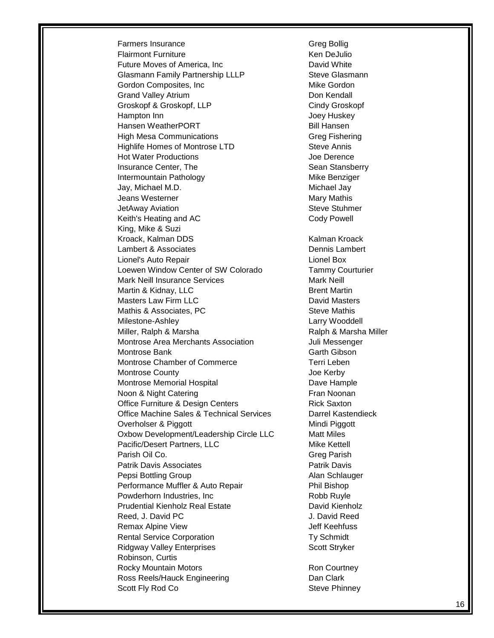Farmers Insurance Greg Bollig Flairmont Furniture **Ken DeJulio** Future Moves of America, Inc **Example 20** David White Glasmann Family Partnership LLLP Steve Glasmann Gordon Composites, Inc **Mike Gordon** Mike Gordon Grand Valley Atrium **Don Kendall** Groskopf & Groskopf, LLP Cindy Groskopf Hampton Inn **Hampton** Inn Hansen WeatherPORT Bill Hansen High Mesa Communications Greg Fishering Highlife Homes of Montrose LTD Steve Annis Hot Water Productions **Contact Server Contact Server Contact Server Contact Server Contact Server Contact Server Contact Server Contact Server Contact Server Contact Server Contact Server Contact Server Contact Server Cont** Insurance Center, The Sean Stansberry Intermountain Pathology **Mike Benziger** Mike Benziger Jay, Michael M.D. Michael Jay Jeans Westerner **Mary Mary Mathis** JetAway Aviation **Steve Stuhmer** Steve Stuhmer Keith's Heating and AC Cody Powell King, Mike & Suzi Kroack, Kalman DDS Kalman Kroack Lambert & Associates **Dennis Lambert** Lionel's Auto Repair Lionel Box Loewen Window Center of SW Colorado Tammy Courturier Mark Neill Insurance Services Mark Neill Martin & Kidnay, LLC **Brent Martin** Masters Law Firm LLC **Canadian Contract Contract Contract Contract Contract Contract Contract Contract Contract Contract Contract Contract Contract Contract Contract Contract Contract Contract Contract Contract Contract Co** Mathis & Associates, PC Steve Mathis Milestone-Ashley Miller, Ralph & Marsha **Marsha Ralph & Marsha Miller** Montrose Area Merchants Association **Montrose Area Merchants** Association Montrose Bank Garth Gibson Montrose Chamber of Commerce Terri Leben Montrose County **Montrose County Joe Kerby** Montrose Memorial Hospital **National American** Dave Hample Noon & Night Catering **Frankling** Fran Noonan Office Furniture & Design Centers **Rick Saxton** Office Machine Sales & Technical Services Darrel Kastendieck Overholser & Piggott **Mindi Piggott** Mindi Piggott Oxbow Development/Leadership Circle LLC Pacific/Desert Partners, LLC Mike Kettell Parish Oil Co. **Greg Parish** Co. Patrik Davis Associates **Patrick Davis** Patrik Davis Pepsi Bottling Group **Alan Schlauger** Alan Schlauger Performance Muffler & Auto Repair Phil Bishop Powderhorn Industries, Inc **Robb Ruyle** Robb Ruyle Prudential Kienholz Reed, J. David PC 3. The Second Second Second Second Second Second Second Second Second Second Second Second S Remax Alpine View **Jeff Keehfuss** Rental Service Corporation Ty Schmidt Ridgway Valley Enterprises Scott Stryker Robinson, Curtis Rocky Mountain Motors **Rocky Mountain Motors Ron Courtney** Ross Reels/Hauck Engineering **Engineering** Dan Clark Scott Fly Rod Co Steve Phinney

Larry Wooddell **Matt Miles** David Kienholz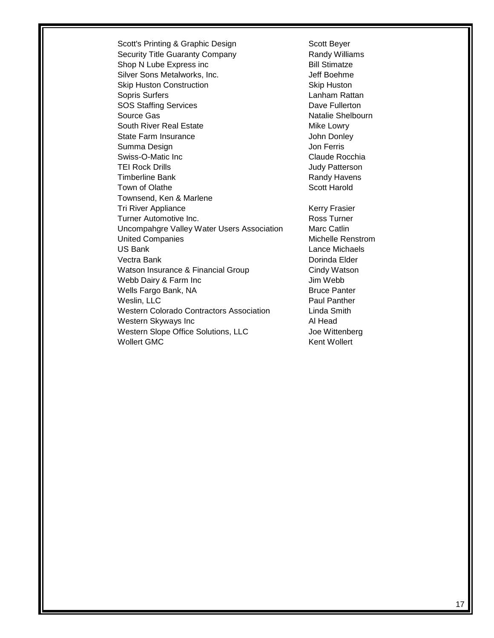Scott's Printing & Graphic Design Scott Beyer Security Title Guaranty Company **Randy Williams** Shop N Lube Express inc Bill Stimatze Silver Sons Metalworks, Inc. The Solid Communist Silver Sons Metalworks, Inc. Skip Huston Construction Skip Huston Sopris Surfers **Lanham Rattan** SOS Staffing Services **Dave Fullerton** Source Gas Natalie Shelbourn South River Real Estate Mike Lowry State Farm Insurance **State Farm Insurance John Donley** Summa Design **Jon Ferris** Swiss-O-Matic Inc **Claude Rocchia** TEI Rock Drills **TEI Rock Drills Judy Patterson** Timberline Bank **Randy Havens** Randy Havens Town of Olathe Scott Harold Townsend, Ken & Marlene Tri River Appliance **Kerry Frasier** Kerry Frasier Turner Automotive Inc. Turner Ross Turner Uncompahgre Valley Water Users Association Marc Catlin United Companies **Michelle Renstrom** US Bank Lance Michaels Vectra Bank **Doring and Doring Community** Doring Planck Doring Doring Planck Doring Doring Planck Doring Doring Planck Doring Planck Doring Planck Doring Planck Doring Planck Doring Planck Doring Planck Doring Planck Dorin Watson Insurance & Financial Group Cindy Watson Webb Dairy & Farm Inc **Incremental Contract Contract Contract Contract Contract Contract Contract Contract Contract Contract Contract Contract Contract Contract Contract Contract Contract Contract Contract Contract Contrac** Wells Fargo Bank, NA Bruce Panter Weslin, LLC **Paul Panther** Western Colorado Contractors Association Linda Smith Western Skyways Inc **All Head** Al Head Western Slope Office Solutions, LLC Joe Wittenberg Wollert GMC **Kent Wollert** Kent Wollert